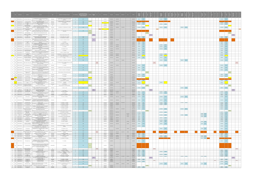|                                               |         |                                                                               |                                                                                         |                                                                                                                                                                                                                                                                               |                                           |                                                                                                                                                                                                                | No. of dwelling |                   |             |       |                                        |                                          |                          | 5 B1b,B1c, C2 D2 Year-Received Transport Open-Space Education Fire |                                          |                                                      |                                                                                                                              |                  |           |                                        |                  |  |                              |       |                                                                                                                                                 |                |                  |        |
|-----------------------------------------------|---------|-------------------------------------------------------------------------------|-----------------------------------------------------------------------------------------|-------------------------------------------------------------------------------------------------------------------------------------------------------------------------------------------------------------------------------------------------------------------------------|-------------------------------------------|----------------------------------------------------------------------------------------------------------------------------------------------------------------------------------------------------------------|-----------------|-------------------|-------------|-------|----------------------------------------|------------------------------------------|--------------------------|--------------------------------------------------------------------|------------------------------------------|------------------------------------------------------|------------------------------------------------------------------------------------------------------------------------------|------------------|-----------|----------------------------------------|------------------|--|------------------------------|-------|-------------------------------------------------------------------------------------------------------------------------------------------------|----------------|------------------|--------|
|                                               |         |                                                                               | 2003 WB/03/00039/FULL Land South of Hildon Close                                        | 4 x 1 bedroom flats, 15x2 bedroom houses, 9x3 bedroom<br>houses,1x2 bedroom and 1x3 bedroom wheelchair bungalows<br>$(30 \text{ total})$                                                                                                                                      | Residential                               | 4 x 1 bedroom flats, 15x2 bedroom houses, 9x3 bedroom<br>houses, 1x2 bedroom and 1x3 bedroom wheelchair<br>bungalows                                                                                           |                 | 2277              |             |       | 01/04/2007                             | £20,000.00                               | £44,000.00               |                                                                    | £64,000.00                               | £666.67 £8.78                                        |                                                                                                                              |                  |           | £1,466.67 £19.32                       |                  |  |                              |       | £2.133.33 £28.11                                                                                                                                |                |                  |        |
|                                               |         | 2003 WB/03/00072/FULL<br>3 2003 WB/03/00077/OUT                               | 1 - 13 South Farm Road<br>2 Tennyson Road (Linden                                       | Demolition of existing buildings & redevt with ground floor retail,<br>12 no. 2 bed flats & 3 houses.<br>Outline appn for demolition of nursing home and redevt with                                                                                                          | Mixed (A1<br>Residential                  | 2 bed flats (min 60sqm), 1 x 2 bed house (75 sqm, 2 x<br>bed house (95 som): 362 som retail floorspace<br>18 x 2 bed flats                                                                                     | 18              | 985<br>1188       | 362         |       | 01/04/2007                             | £10,000.00<br>£18,000.00                 | £22,212.00               |                                                                    | £32,212.00<br>£18,000.00                 | £1,000.00 £15.15                                     |                                                                                                                              |                  |           |                                        |                  |  |                              |       | £1,000.00 £15.15                                                                                                                                |                |                  |        |
| 4                                             |         | 2003 WB/03/00269/FULL                                                         | Road                                                                                    | Lodge)<br>37 Teville Road and 28 Oxford Demoish existing building & erect block of 5 two bed and 6 one<br>bed flats (11 total)                                                                                                                                                | Residential                               | 5 x 2 bed and 6 x 1 bed flats                                                                                                                                                                                  | $-11$           | 636               |             |       | 22/08/2003                             | £6,000.00                                | £6,000.00                |                                                                    | £12,000.00                               | £545.45                                              | £9.43                                                                                                                        |                  | £545.45   | £9.43                                  |                  |  |                              |       | £1,090.91 £18.87                                                                                                                                |                |                  |        |
|                                               |         | 5 2003 WB/03/00307/FULL<br>6 2003 WB/03/00557/FULL                            | Imperial China Restaurant,<br>Wordsworth Road<br>The John Homiman School, 2             | Erection of first floor extension to existing restaurant<br>Demolition of existing property and proposed residential<br>development for 24 apartments, external works, 24 car parking                                                                                         | A3<br>Residential                         | $2\times3$ bed flats, $14\times2$ bed flats and $8\times1$ bed flats                                                                                                                                           | 24              | 1494              |             |       | 21/01/2004<br>01/04/2007               | £5,000.00<br>£24,000.00                  | £20,568.00               | £14,000.00                                                         | £5,000.00<br>£58,568.00                  | £1,000.00 £16.06                                     |                                                                                                                              |                  |           | £857.00 £13.77                         | £583.33 £9.37    |  |                              |       | £2,440.33 £39.20                                                                                                                                |                |                  |        |
|                                               |         | 2003 WB/03/00687/FULL                                                         | Park Road<br>and Adj to Lloyds TSB, West of<br>Romany Road                              | spaces and ancillary works<br>Erection of tennis, health and fitness club.                                                                                                                                                                                                    | D <sub>2</sub>                            |                                                                                                                                                                                                                |                 |                   |             |       | 8500                                   | £35,000.00                               |                          |                                                                    | £35,000.00                               |                                                      |                                                                                                                              |                  | £4.12     |                                        |                  |  |                              |       |                                                                                                                                                 |                |                  |        |
|                                               |         | 2003 WB/03/00719/FULL                                                         | Road                                                                                    | 9 Field Row & 38-42 Portland Demolish existing buildings and erect new building to provide<br>retail on grd fir, basement storage, 8 flats on 2nd & 3rd floors.                                                                                                               | Mixed (A1)                                | 5 x 2 bed, 3 x 1 bed; 239 sqm retail and 282 sqm storage<br>warehousing                                                                                                                                        | 8               | 483               | 521         |       | 07/07/2004                             | £8,000.00                                |                          |                                                                    | £8,000.00                                |                                                      |                                                                                                                              |                  |           |                                        |                  |  |                              |       |                                                                                                                                                 |                |                  |        |
|                                               |         | 9 2003 WB/03/00784/FULL                                                       | 43-45 Chapel Road<br>Former BT site Northbrook                                          | Change of use 1st floor and part grd from A1 to A3.                                                                                                                                                                                                                           | A3                                        |                                                                                                                                                                                                                |                 |                   | 730         |       | 14/08/2003                             | £4,000.00                                |                          |                                                                    | £4,000.00                                |                                                      |                                                                                                                              | £5.48            |           |                                        |                  |  |                              |       |                                                                                                                                                 | £5.48          |                  |        |
|                                               |         | 10 2003 WB/03/00788/FULL<br>2003 WB/03/01333/FULL                             | Trading Estate, Northbrook<br>Road.<br>137 Broadwater Street                            | Redevelopment of the site with the construction of 18 No<br>Erection of a two storey development comprising 2 x two                                                                                                                                                           | Commercial<br>Residential                 | 4,829 sqm industrial, 568 sqm office<br>2 x 2 bed cottages and 6 x 2 bed flats                                                                                                                                 | 8               | 550               | 5397        |       | 30/03/2004<br>07/03/2005               | £10,000.00<br>£6,000.00                  |                          |                                                                    | £10,000.00<br>£6,000.00                  | £750.00 £10.91                                       |                                                                                                                              | £1.85            |           |                                        |                  |  |                              |       | £750.00 £10.91                                                                                                                                  |                | £1.85            |        |
|                                               |         | 2003 WB/03/01370/FULL                                                         | 22 Winchester Road                                                                      | bedroom cottages and 6 x two bedroom flats.<br>Conversion and extension to provide 9 flats<br>Outline Application for the redevelopment of vehicle workshop                                                                                                                   | Residential                               | 6 x 2 bed flats and 3 x 1 bed flats                                                                                                                                                                            |                 | 549               |             |       | 29/01/2004                             | £2.100.00                                |                          |                                                                    | £2.100.00                                | £233.33 £3.83                                        |                                                                                                                              |                  |           |                                        |                  |  |                              |       | £233.33 £3.83                                                                                                                                   |                |                  |        |
|                                               |         | 2003 WB/03/01420/OUT                                                          | 69 Victoria Road, Worthing                                                              | premises and yard with 12 No. two bed flats and 6 No. one bed<br>flats with commercial A2/B1 use on ground floor                                                                                                                                                              | Mixed (B1)                                | 12 x 2 bed, 6 x 1 bed flats; 270 sqm A2                                                                                                                                                                        | 18              | 1098              | 270         |       | 2007/2008                              | £30,918.00                               | £30,918.00               |                                                                    | £61,836.00                               |                                                      |                                                                                                                              |                  |           |                                        |                  |  |                              |       |                                                                                                                                                 |                |                  |        |
|                                               |         | 14 2004 WB/04/00018/FULL<br>15 2004 WB/04/00053/OUT                           | 4-7 Arcade Buildings, South<br>Street<br>52 Tarring Road                                | Change of use of first and second floors to six self contained<br>studio flats<br>Outline application for extension and alterations to provide 6 self-<br>contained flats including demolition of workshop                                                                    | Residential<br>Residential                | 6 x studio flats<br>2 x 2 bed flats, 4 x 1 bed flats                                                                                                                                                           | 6<br>6          | 192<br>336        |             |       | 09/03/2004<br>10/11/2004               | £1,200.00<br>£2,580.00                   |                          |                                                                    | £1,200.00<br>£2,580.00                   | £200.00 £6.25<br>£430.00                             | £7.68                                                                                                                        |                  |           |                                        |                  |  |                              |       | £200.00 £6.25<br>£430.00 £7.68                                                                                                                  |                |                  |        |
|                                               |         | 2004 WB/04/00117/FULL                                                         | 31 Gratwicke Road                                                                       | Redevelopment of the site with a block of 11 one and two<br>hedroom flats<br>lutline application for redevelopment of the site with block of                                                                                                                                  | Residential                               | 8 x 2 bed flats and 3 x 3 bed flat                                                                                                                                                                             | 11              | 771               |             |       | 02/02/2005                             | £3,600.00                                | £13,082.00               |                                                                    | £16,682.00                               | £327.27                                              | £4.67                                                                                                                        |                  |           | £1,189.27 £16.97                       |                  |  |                              |       | £1,516.55 £21.64                                                                                                                                |                |                  |        |
|                                               |         | 17 2004 WB/04/00225/OUT                                                       | 153-155 Tarring Road<br>30/32 Shakespeare Road                                          | twelve x two bedroom flats, creation of a new access and 3 car<br>parking spaces<br>rsion of existing rest home to form 10 self contained flat                                                                                                                                | Residential<br>Residential                | 12 x 2 bed flats<br>5 x 2 bed and 5 x 1 bed                                                                                                                                                                    | 12              | 792<br>585        |             |       | 15/08/2007<br>01/04/2006               | £5,400.00<br>£5,100.00                   | £18,801.00<br>£10,719.00 |                                                                    | £24,201.00<br>£15,819.00                 | £450.00<br>£510.00                                   | £6.82<br>£8.72                                                                                                               |                  | £1,566.75 | £23.74                                 |                  |  |                              |       | £2,016.75 £30.56                                                                                                                                |                |                  |        |
|                                               |         | 18 2004 WB/04/00240/FULL<br>19 2004 WB/04/00334/FULL                          | 46 Crescent Road (Land south<br>of 48 Crescent Road)                                    | including new porch on east elevation and covered cycle parking<br>to rear<br>Erection of a block of six x 2 bedroom flats                                                                                                                                                    | Residential                               | 6 x 2 bed flats                                                                                                                                                                                                | 10<br>$6 -$     | 396               |             |       | 13/05/2004                             | £4,500.00                                |                          |                                                                    | £4,500.00                                | £750.00                                              | £11.36                                                                                                                       |                  |           | £1,071.90 £18.32                       |                  |  |                              |       | £1,581.90 £27.04<br>£750.00 £11.36                                                                                                              |                |                  |        |
|                                               | 20 2004 | WB/04/00383/FULI                                                              | 21 Selden Road                                                                          | Conversion and two storey rear extension of existing building to<br>create 6 no. one and two bedroom flats with parking for 6 no.<br>vehicles                                                                                                                                 | Residential                               | $4 \times 2$ bed, 1 $\times$ 1 bed and 1 $\times$ studies                                                                                                                                                      | $6 -$           | 347               |             |       | 15/06/200                              | £2,630.00                                |                          |                                                                    | £2,630.00                                | £438.33                                              | £7.58                                                                                                                        |                  |           |                                        |                  |  |                              |       | £438.33                                                                                                                                         | £7.58          |                  |        |
|                                               |         | 21 2004 WB/04/00825/FULL<br>22 2004 WB/04/00854/FULL                          | 11 & 15 Offington Lane,<br>Worthing                                                     | Construction of 19 dwellings & demolition of existing dwellings<br>Construction of 23 one and two bedroom flats                                                                                                                                                               | Residential<br>Residential                | 8 x 3 bed houses, 5 x 4 bed houses, 6 x 2 bed apartments<br>x disabled units, 2 x keyworker units, 5 x 2 bed 4 person                                                                                          | 19<br>23        | 1670              |             |       | 01/04/2007<br>01/04/2008               | £21,360.00<br>£13,830.00                 | £30,904.00<br>£33,801.00 |                                                                    | £52,264.00<br>£47,631.00                 | £1,124.21<br>£601.30                                 | £12.79                                                                                                                       |                  | £1,469.61 | £1,626,53 £18,51                       |                  |  |                              |       | £2,750.74 £31.30<br>£2,070.91                                                                                                                   |                |                  |        |
|                                               | 23 2004 | WB/04/00864/FULI                                                              | Rivoli Hotel Chapel Road<br>Land at former Unigate Depot,<br>Penfold Road, Worthing     | Erection of block of 40 sheltered apt., house mgr accom<br>omm fac. landscape & car parking; & 1 block of 9 aff. housing                                                                                                                                                      |                                           | units, 4 x 2 bed 3 person units<br>0 x 1 bed sheltered apartments, 8 x 1 bed apartments and<br>x 2 bed                                                                                                         |                 | 2514              |             |       | 24/05/2006                             | £13,571.00                               | £9,395.00                |                                                                    | £22,966.00                               | £276.96 £5.40                                        |                                                                                                                              |                  | £191.73   | £3.74                                  |                  |  |                              |       | £468.69                                                                                                                                         | £9.14          |                  |        |
|                                               |         | 24 2004 WB/04/00887/FUL                                                       | 1-5 Alexander Terrace,<br>Liverpool Gardens                                             | apartments with car parking<br>Change of use of existing offices to 16 No. flats comprising 8 x<br>2 bedroom flats, 6 x 1 bedroom flats and 2 x studio flats                                                                                                                  | Residential                               | 8 x 2 bed flats, 6 x 1 bed flats and 2 x studio flats                                                                                                                                                          | 16              | 898               |             |       | 18/10/2005                             |                                          | £15,571.00               | £9,100.00                                                          | £24,671.00                               |                                                      |                                                                                                                              |                  |           | £973.19 £17.34                         | £568.75 £10.13   |  |                              |       | £1,541.94 £27.47                                                                                                                                |                |                  |        |
|                                               |         | 25 2004 WB/04/01123/FULL                                                      |                                                                                         | including the addition of metal railings.<br>Refurb. of existing building, extension and new build to form 2 x<br>Milton House. Nursery Lane 10 bedroom care homes. 2 x 2 bedroom care flats and new four                                                                     | C2                                        | 2 x 10 bed care homes, 2 x 2 bed care flats and 1 x 4 bed<br>care bungalow.                                                                                                                                    |                 |                   |             |       | 01/06/2006                             | £10,000.00                               |                          |                                                                    | £10,000.00                               |                                                      |                                                                                                                              |                  | £7.89     |                                        |                  |  |                              |       |                                                                                                                                                 |                |                  | £7.89  |
|                                               | 26 2004 | VB/04/01149/FULL                                                              | 30/32 Shakespeare Roa                                                                   | bedroom care bungalow<br>Conversion of existing roofspace to form two additional flats<br>and formation of four parking spaces in rear gardens                                                                                                                                | Residential                               | 2 x 2 bed flatt                                                                                                                                                                                                | 2               | 132               |             |       | 01/04/2006                             | £1,500.00                                | £3,133.00                |                                                                    | £4,633.00                                | £750.00 £11.36                                       |                                                                                                                              |                  | £1,566.50 |                                        |                  |  |                              |       | £2,316.50 £35.10                                                                                                                                |                |                  |        |
|                                               |         | 27 2004 WB/04/01187/FULL                                                      | 76-84 Portland Road                                                                     | Conversion of Church Hall into five residential units and the<br>construction of a pair of semi-detached dwelling houses (Total                                                                                                                                               | Residential                               | 5 x studio flats and 2 x 3 bed semi-detached houses                                                                                                                                                            | 7               | 346               |             |       | 07/03/2005                             | £2,790.00                                |                          |                                                                    | £2,790.00                                | £398.57 £8.06                                        |                                                                                                                              |                  |           |                                        |                  |  |                              |       | £398.57 £8.06                                                                                                                                   |                |                  |        |
|                                               |         | 28 2004 WB/04/01303/FULL                                                      | 11 Mill Road Worthing                                                                   | of 7 residential units)<br>Erection of 2 storey rear extension with 1st floor balconies and<br>onversion to provide 6 self cont. flats and parking. Erection of                                                                                                               | Residentia                                | 4 x 2 bed, 2 x 1 bed and 1 x 2 bed bungalow                                                                                                                                                                    | 7 <sup>7</sup>  | 432               |             |       | 17/02/2005                             | £4,160.00                                |                          |                                                                    | £4,160.00                                | £594.29 £9.63                                        |                                                                                                                              |                  |           |                                        |                  |  |                              |       | £594.29 £9.63                                                                                                                                   |                |                  |        |
|                                               |         | 29 2004 WB/04/01341/FULL                                                      | PDH Garage, 123 Upper<br><b>Brighton Road</b>                                           | 1 detached bungalow<br>Erection of a non-food retail unit (use class A1) with associate<br>parking and servicing. (Resubmission of WB/04/00600/FULL).                                                                                                                         |                                           | 929 sqm retail (up to 1394 sqm with mezzanine)                                                                                                                                                                 |                 |                   | 929         |       | 2010/2011                              | £30,000.00                               |                          |                                                                    | £30,000.00                               |                                                      |                                                                                                                              | £32.29           |           |                                        |                  |  |                              |       |                                                                                                                                                 |                |                  |        |
|                                               |         | 30 2005 WB/05/0148/FULL                                                       | 124/126 Montague Street                                                                 | Demolition of existing buildings and redevelopment with 6 x two<br>bedroom houses.                                                                                                                                                                                            | Residential                               | 6 x 2 bed houses                                                                                                                                                                                               | $6 -$           | 462               |             |       | 01/04/2007                             | £2,340.00                                |                          |                                                                    | £2,340.00                                | £390.00 £5.06                                        |                                                                                                                              |                  |           |                                        |                  |  |                              |       | £390.00 £5.06                                                                                                                                   |                |                  |        |
|                                               |         | 31 2005 WB/05/0194/FULL                                                       | 13 Langton Road                                                                         | Conversion of seven bedroom care home into eight self<br>contained flats                                                                                                                                                                                                      | Residential                               | 8 x 1 bed flats                                                                                                                                                                                                | 8 <sup>1</sup>  | 408               |             |       | 20/04/2005                             | £4,380.00                                |                          |                                                                    | £4,380.00                                | £547.50 £10.74                                       |                                                                                                                              |                  |           |                                        |                  |  |                              |       | £547.50 £10.74                                                                                                                                  |                |                  |        |
| $-33$                                         |         | 2005 WB/05/0245/FULL<br>2005 WB/05/0265/FULL                                  | Tesco Store Durrington<br>26 South Farm Road                                            | Extension to foodstore<br>Redevelopment of the site with a two storey building comprising<br>two No. retail units and five No. residential flats                                                                                                                              | Mixed (A1                                 | 5 x 1 bed flats (totalling 190 sqm) and 64 sqm retail<br>floorspace                                                                                                                                            |                 | 190               |             |       | 2011/2012<br>16/05/2005                | £317,500.00<br>£2,005.00                 |                          |                                                                    | £317,500.00<br>£2,005.00                 |                                                      |                                                                                                                              |                  |           |                                        |                  |  |                              |       |                                                                                                                                                 |                |                  |        |
|                                               |         | 34 2005 WB/05/0324/FULL<br>2005 WB/05/0393/FULL                               | 50 Alexandra Road<br>Former Rivoli PH site and MOT                                      | Merations and extensions to convert property to 7 self<br>contained units<br>Erection of seven new dwellings (amendments to                                                                                                                                                   | Residential                               | 6 x studio flats and 1 x 2 bed flats<br>2 x 2 bed bungalows, 7 x 2 bed houses, 1 x 1 bed flat and 21                                                                                                           | 7               | 258               |             |       | 22/07/2005                             | £2,400.00                                |                          |                                                                    | £2,400.00                                | £342.86 £9.30                                        |                                                                                                                              |                  |           |                                        |                  |  |                              |       | £342.86 £9.30                                                                                                                                   |                |                  |        |
| 35                                            |         | 36 2005 WB/05/0713/FULL                                                       | Forest Barn, Arundel Road                                                               | WB/04/01343/FULL, WB/04/00873/FULL (2 No houses) and<br>WR/04/00854/FULL (23 No. flats)<br>Erection of 6 dwellings                                                                                                                                                            | Residential<br>Residential                | $4 \times 3$ bed houses                                                                                                                                                                                        | 32              |                   |             |       | 01/04/2008<br>2010/2011                | £3,750.00<br>£9,480.00                   | £12,101.00               |                                                                    | £15,851.00<br>£9,480.00                  | £117.19<br>£2.370.00 £25.48                          |                                                                                                                              |                  | £378.16   |                                        |                  |  |                              |       | £495.34<br>£2.370.00 £25.48                                                                                                                     |                |                  |        |
|                                               |         | 37 2005 WB/05/0753/FULL                                                       | PDH Garage, rear of 123 Upper<br>Brighton Road, Worthing                                | Construction of a non food warehouse                                                                                                                                                                                                                                          | A1                                        | 697 sqm retail (up to 1,002 with mezzanine)                                                                                                                                                                    |                 |                   | 697         |       | 2010/2011                              | £22,500.00                               |                          |                                                                    | £22,500.00                               |                                                      |                                                                                                                              | £32.28           |           |                                        |                  |  |                              |       |                                                                                                                                                 | £32.28         |                  |        |
|                                               |         | 38 2005 WB/05/0814/FULL                                                       | 44 to 46 Wallace Avenue<br>Columbia House, Columbia                                     | Demolition of existing buildings and erection of an apartment<br>building containing 8 no. flats with associated p<br>Construction of two No. three storey office units on two floors                                                                                         | Residential                               | 7 x 2 bed, 1 x 1 bed                                                                                                                                                                                           | 8               | 513               |             |       | 2006/2007                              | £5,940.00                                |                          | £1,004.00                                                          | £6,944.00                                | £742.50 £11.58                                       |                                                                                                                              |                  |           |                                        | £125.50 £1.96    |  |                              |       | £868.00 £13.54                                                                                                                                  |                |                  |        |
|                                               | 39 2005 | WB/05/1108<br>40 2005 WB/05/1145/FULL<br>41 2005 WB/05/1286/OUT               | Drive<br>Yeoman Way (Dumcate)<br>24 Lyndhurst Road                                      | with parking on the ground floor.<br>Erection of 5.2 storey office blocks<br>Construction of 12 flats                                                                                                                                                                         | <b>B1</b><br>Residential                  | B2 3.762 sqn<br>8 x 2 bed: 4 x 1 bed fla                                                                                                                                                                       | 12              |                   | 660<br>3762 |       | 29/06/2006<br>2006/2007<br>2010/2011   | £14,114.00<br>£65.557.00<br>£9,620.00    | £13,580.00               |                                                                    | £14,114.00<br>£65,557.00<br>£23,200.00   |                                                      | £801.67 £13.14                                                                                                               | £21.38<br>£17.43 |           | £1.131.67 £18.55                       |                  |  |                              |       | £1.933.33 £31.69                                                                                                                                |                | £21.38<br>£17.43 |        |
|                                               |         | 42 2005 WB/05/1407/FULL                                                       | ICAM LTD Half Moon Lane                                                                 | Revised proposals for the redevelopment of the site to increase<br>the number of approved residential units from eight to ten                                                                                                                                                 | Residential                               | 10 x 2 bed flats                                                                                                                                                                                               | 10              | 660               |             |       | 01/04/2007                             | £6,760.00                                | £8,781.00                |                                                                    | £15,541.00                               | £676.00                                              | £10.24                                                                                                                       |                  | £878.10   | £13.30                                 |                  |  |                              |       | £1,554.10 £23.55                                                                                                                                |                |                  |        |
|                                               | 45 2006 | 43 2006 WB/06/0128/FULL<br>WB/06/0216/FULL                                    | 19A Selden Road<br>44 2006 WB/06/0212/FULL Land north of Tarring Road<br>12 West Avenue | Erection of 7 flats<br>Construction of 10 dwellings<br>Construction of a detached building to provide 6 x 2 bedroo                                                                                                                                                            | Residential<br>Residential<br>Residential | 6 x 2 bed: 6 x 1 bed flats<br>2 x 2 bed houses. 4 x 1 bed flats. 4 x 2 bed flats<br>6 x 2 bed; 6 x 1 bed flats                                                                                                 | 12              | 702<br>622<br>702 |             |       | 2006/2007<br>2009/2010<br>01/04/2008   | £6,338.00<br>£1,500.00<br>£12,805.00     | £19,271.00               | £30,191.00                                                         | £6,338.00<br>£1,500.00<br>£62,267.00     | £905.43<br>£150.00<br>£1,067.08                      | £9.03<br>£2.41<br>£18.24                                                                                                     |                  |           | £1,605.92 £27.49                       | £2,515.92 £43.0  |  |                              |       | £905.43<br>£150.00                                                                                                                              | £9.03<br>£2.41 |                  |        |
|                                               |         |                                                                               |                                                                                         | flats. Conversion of existing building to provide another 6 x 2<br>bedroom flats<br>Erection of a block of 12 flats fronting Angola Road and Inked                                                                                                                            |                                           |                                                                                                                                                                                                                |                 |                   |             |       |                                        |                                          |                          |                                                                    |                                          |                                                      |                                                                                                                              |                  |           |                                        |                  |  |                              |       | £5,188.92 £88.70                                                                                                                                |                |                  |        |
|                                               |         | 46 2006 WB/06/0465/FULL                                                       | 126-162 Sackville Road, 2-28<br>Varner Road, 1-35 Angola<br>Road, Worthing              | to existing flats, including revised parking, new access, new<br>external stores, amenity and drying areas to courtyard area an<br>alterations to 4 existing garages beneath 31/35 Angola Road                                                                                | Residential                               | $12\times2$ bed flats                                                                                                                                                                                          | 12              | 792               |             |       | 07/01/2008                             | £9,130.00                                | £18,801.00               |                                                                    | £27,931.00                               | £760.83 £11.53                                       |                                                                                                                              |                  |           | £1,566.75 £23.74                       |                  |  |                              |       | £2,327.58 £35.27                                                                                                                                |                |                  |        |
|                                               |         | 47 2006 WB/06/0530/FULL                                                       | 25 Wordsworth Road<br>2006 WB/06/0545/FULL 118-120 Dominion Road                        | Erection of 13 flats<br>Redevelopment of the site with a two and three story block of 13                                                                                                                                                                                      | Residential<br>Residential                | 6 x 2 bed flats: 7 x 1 bed flats<br>$7 \times 2$ bed flats, $6 \times 1$ bed flats                                                                                                                             |                 | 753<br>768        |             |       | 01/04/2008<br>01/04/2008               | £5,131.00<br>£9,490.00                   | £15,417.00<br>£14,426.00 | £16.111.00                                                         | £36,659.00<br>£23,916.00                 | £394.69<br>£730.00 £12.36                            | £6.81                                                                                                                        |                  |           | £1.185.92   £20.47<br>£1,109.69 £18.78 | £1,239.31 £21.40 |  |                              |       | £2.819.92<br>£1,839.69 £31.14                                                                                                                   | £48.68         |                  |        |
|                                               |         |                                                                               | 49 2006 WB/06/0728/FULL 1-5 Cross Street                                                | flats with narking<br>Erection of 22 1 and 2 bed flats<br>50 2007 WB/06/0751/FULL 73 & 75 St Lawrence Avenue Demoltion of existing dwelling and Construction of 6 houses                                                                                                      | Residential<br>Residential                | 16 x 2 bed flats: 6 x 1 bed flats<br>2 x 4 bed: 5 x 3 bed houses                                                                                                                                               | 6 <sup>5</sup>  | 1362<br>677       |             |       | 01/04/2008<br>01/04/2008               | £14.365.00<br>£8,808.00                  | £26.165.00               |                                                                    | £40.530.00<br>£8,808.00                  | £1,468.00                                            | £652.95 £10.55<br>£13.01                                                                                                     |                  |           | £1.189.32 £19.21                       |                  |  |                              |       | £1.842.27 £29.76<br>£1,468.00                                                                                                                   | £13.01         |                  |        |
|                                               |         |                                                                               |                                                                                         | Erection of a 3 storey block comprising 7 no. flats with 15<br>associated car parking spaces.<br>Land at Win & Pen Public House   Demolition of the existing rublic bouse and exection of 2.5                                                                                 | Residenti                                 | $2 \times 2$ bed flats, $5 \times 3$ bed flats                                                                                                                                                                 |                 |                   |             |       |                                        |                                          |                          |                                                                    | £7,638.00                                | £1,091.14                                            | £14.22                                                                                                                       |                  |           |                                        |                  |  |                              |       | £1,091.14                                                                                                                                       | £14.22         |                  |        |
| 53                                            | 2006    | 52 2006 WB/06/0853/OUT                                                        | Wigmore Road Worthing                                                                   | storey building containing 15 flats<br>Downlands Retail Park Extension of current site, mezzanine floors and 9 wind turbines                                                                                                                                                  | Residential                               | 6 x 1 bed: 9 x 2 bed: flats<br>Halfords extension total gross 2025, net 1,519 sqm                                                                                                                              | 15              | 900               | 1519        |       | 01/04/2008<br>01/04/2008               | £14,562.00<br>£59,361.00                 | £18,087,00 £17,767,00    |                                                                    | £50,416.00<br>£59,361.00                 | £970.80 £16.18                                       |                                                                                                                              | £39.08           |           | £1,205.80 £20.10                       | £1.184.47 £19.74 |  |                              |       | £3,361.07 £56.02                                                                                                                                |                |                  |        |
|                                               |         | 54 2006 WB/06/1050/FULL                                                       | 3-10 Marine Parade - The<br>Fardley Hotel                                               | Erection of 34 flats with off street parking on the Land<br>Development of 117 flats and houses, health surgery and                                                                                                                                                           | Residential                               | 30 x 2 bed flats, 4 x 3 bed flats                                                                                                                                                                              | 34              | 2304              |             |       | 2011/2012                              | £39,910.00                               | £128,270.00              |                                                                    | £168,180.00                              | £1.173.82 £17.32                                     |                                                                                                                              |                  |           | £3,772.65 £55.67                       |                  |  |                              |       | £4,946.47 £72.99                                                                                                                                |                |                  |        |
| 55                                            | 56 2006 | 2006 WB/06/1121/FULL<br>WB/06/1129                                            | Land at Eirene Road<br>Orme Road                                                        | pharmacy<br>Brooklands Trading Estate. Redevelopment of the site with 65 one and two bedroom self-<br>contained flats, car parking and landscaping.                                                                                                                           | Residential<br>Residential                | 24 x 1 bed flat. 81 x 2 bed flat. 9 x 3 bed houses<br>39 x 2 bed; 26 x 1 bed                                                                                                                                   | 117<br>65       | 7407<br>3900      |             |       | 2011/2012<br>26.11.2007                | £249,676.00<br>£22,180.00                | £76,091.00               | £1,971.50<br>£923.00                                               | £251,647.50<br>£99,194.00                | £2,133.98<br>£341.23                                 | £33.71<br>£5.69                                                                                                              |                  |           | £1,170.63 £19.51                       | £0.00 £0.00      |  | £16.85 £0.27<br>£14.20 £0.24 |       | £2,150.83 £33.97<br>£1,526.06 £25.43                                                                                                            |                |                  |        |
|                                               | 57 2006 | WB/06/1194/FULL<br>58 2006 WB/06/1348/FULL                                    | Jorthbrook College Union Place<br>7 Langton Road                                        | 65 Assisted living flats<br>Conversion and extension of existing dwelling to provide 10 self                                                                                                                                                                                  | Residential<br>Residential                | 54 x 1 bed and 11 x 2 bed assisted living flats<br>$4 \times 2$ bed: $6 \times 1$ bed                                                                                                                          | 65<br>10        | 3480<br>570       |             |       | 2008/2009<br>01/04/2008                | £10,365.00<br>£6,858.00                  | £8,447.00                | £247.00                                                            | £10,612.00<br>£15,305.00                 | £159.46<br>£685.80                                   | £2.98<br>£12.03                                                                                                              |                  |           | £844.70 £14.82                         |                  |  | £3.80 £0.07                  |       | £163.26<br>£1,530.50 £26.85                                                                                                                     | £3.05          |                  |        |
|                                               |         | 59 2007 WB/07/0086/FULL<br>60 2007 WB/07/0226/FULL                            | 20 Shakespeare Road<br>40-42 St Boltophs Road                                           | contained flats with associated narking<br>Develocment of 6 flats<br>Construction of 14 residential apartments 6x1 bed, 8x2 bed with<br>associated external works, parking, landscape                                                                                         | Residential<br>Residential                | 4 x 1 bed: 2 x 2 bed<br>$6 \times 1$ bed and $8 \times 2$ bed                                                                                                                                                  | 6<br>14         | 336<br>834        |             |       | 01/04/2008<br>2009/2010                | £3.380.00<br>£13,520.00                  | £15,993.00               |                                                                    | £3.380.00<br>£29,513.00                  | £563.33<br>£965.71                                   | £10.06<br>£16.21                                                                                                             |                  | £1,142.36 | £19.18                                 |                  |  |                              |       | £563.33 £10.06<br>£2,108.07                                                                                                                     | £35.39         |                  |        |
|                                               |         | 61 2007 WB/07/0285/OUT                                                        | 33 Mill Road                                                                            | Construction of 5 new residential units and change of use of<br>existing building to covide 5 that<br>Demoliton of existing shop unit, 4 apartments and 1 detached<br>dwelling and redevelopment of the site with 1 retail unit, 21 x two                                     | Residential                               | 3 x 1 bed; 7 x 2 bed flats                                                                                                                                                                                     | 10              | 615               |             |       | 2009/2010                              | £11,018.00                               | £5,290.00                | £170.00                                                            | £16,478.00                               | £1.101.80 £17.92                                     |                                                                                                                              |                  |           | £529.00 £8.60                          |                  |  | £17.00 £0.28                 |       | £1,647.80 £26.79                                                                                                                                |                |                  |        |
|                                               | 62 2007 | WB/07/0386/FULL                                                               | Land at 17, 19 and 19A<br>Crescent Road, Worthing                                       | bedroom and 2x one bedroom apartments with associated<br>parking for 19                                                                                                                                                                                                       | Mixed (A1)                                | 2 x 1 bed flats, 21 x 2 bed flats                                                                                                                                                                              | 23              | 1488              |             |       | 01/04/2008                             | £21,840.00                               | £19,313.00               | £248.00                                                            | £41,401.00                               | £949.57 £14.68                                       |                                                                                                                              |                  |           | £839.70 £12.98                         |                  |  | £10.78 £0.17                 |       | £1,800.04 £27.82                                                                                                                                |                |                  |        |
|                                               | 63 2007 | WB/07/0487/FULL                                                               |                                                                                         | Construction of two detached bungalows and one pair of semi-<br>Rear 111-119 Greenland Road detached chalet bungalows, (plots 2 - 5) together with garages,<br>associated parking, access and landscaping.<br>Extensions and alterations in connection with the conversion of | Residential                               | $2 \times 3/4$ bed detached bungalows; $2 \times 3$ bed semi-detached<br>bungalows                                                                                                                             | 4               | 348               |             |       | 2007/2008                              | £6,240.00                                |                          |                                                                    | £6,240.00                                | £1,560.00 £17.93                                     |                                                                                                                              |                  |           |                                        |                  |  |                              |       | £1,560.00 £17.93                                                                                                                                |                |                  |        |
|                                               |         | 64 2007 WB/07/0619/FULL<br>2007 WB/07/0780/FULL                               | 1-2 New Parade                                                                          | the property into 5 no. 2 bedroom flats and 8 no. 1 bedroom<br>flats<br>Conversion of HMO to 7 flats                                                                                                                                                                          | Residential                               | 5 x 2 bed and 8 x 1 bed                                                                                                                                                                                        | 13              | 738<br>243        |             |       | 11/09/2007                             | £4,713.00                                | £11,225.00               | £193.00                                                            | £11,418.00                               |                                                      |                                                                                                                              |                  |           | £863.46 £15.21                         |                  |  | £14.85 £0.26                 |       | £878.31 £15.47                                                                                                                                  |                |                  |        |
|                                               | 2007    | WB/07/0794/FULL                                                               | 3 Queens Road<br>Highdown School and Cissbury<br>Lodge, Durrington Lane                 | Development of 64 residential units (54 No. 1 and 2 bedroom<br>extra care flats with communal facilities)                                                                                                                                                                     | Residential<br>Mixed (Residential and C2) | 6 x bedsits; 1 x 1 bed flat<br>x 3 bed houses, 1 x 4 bed house, 54 x 1 and 2 bed extra<br>care flats                                                                                                           |                 | 943               |             |       | 2008/2009<br>2010/2011                 | £10,400.00                               | £19,315.00               | £42,027.00 £286.00                                                 | £4,713.00<br>£72,028.00                  | £673.29 £19.40                                       |                                                                                                                              |                  |           |                                        |                  |  |                              |       | £673.29 £19.40                                                                                                                                  |                |                  |        |
|                                               |         | 67 2007 WB/07/0944/FULL<br>68 2007 WB/07/1009/FULL                            | 36 Wordsworth Road<br>33 Eriswell Road                                                  | Construction of 10 number 1 & 2 bedroom flats<br>Construction of 3 houses and 3 flats                                                                                                                                                                                         | Residential<br>Residential                | 1 x 1 bed flat, 9 x 2 bed flat<br>x 2 bed houses, 1 x 3 bed house, 2 x studio flats and 1 :                                                                                                                    | 6               | 645<br>362        |             |       | 2009/2010<br>2010/2011                 | £9,100.00<br>£2,438.00                   | £9,788.00                |                                                                    | £18,888.00<br>£2,438.00                  | £910.00 £14.11<br>£406.33 £6.73                      |                                                                                                                              |                  |           | £978.80 £15.18                         |                  |  |                              |       | £1.888.80 £29.28<br>£406.33 £6.73                                                                                                               |                |                  |        |
|                                               |         | 69 2007 WB/07/1120/FULL<br>2007 WB/07/1126/FULL                               | 50-56 Bolsover Road<br>2 Tennyson Road                                                  | 38 sheltered apartments<br>Demoltion of the existing buildings and the erection of 14 x 2<br>bedroom flats.                                                                                                                                                                   | Residential<br>Residential                | bed flat<br>26 x 1 bed flats, 12 x 2 bed flats<br>14 2 x bed flats                                                                                                                                             | 14              | 2118<br>924       |             |       | 2010/2011<br>01/04/2008                | £32,000.00<br>£13,103.00                 | £3,806.00<br>£20,764.00  | £494.00<br>£223.00                                                 | £36,300.00<br>£34,090.00                 | £842.11 £15.11                                       | £935.93 £14.18                                                                                                               |                  |           | £100.16 £1.80<br>£1,483.14 £22.47      |                  |  | £13.00 £0.23<br>£15.93 £0.24 |       | £955.26 £17.14<br>£2,435.00 £36.89                                                                                                              |                |                  |        |
| $-71$                                         |         | 2007 WB/07/1424/FULL                                                          | The Former Norfolk Hotel Site.<br>Chapel Road, Worthing                                 | Ground floor retail and 51 residential units<br>Conversion of No. 89 and 91 Rowlands Road into 9 self                                                                                                                                                                         | Mixed (A1 + Residentia                    | 9 x 1 bed flats, 42 x 2 bed flats                                                                                                                                                                              | 51              | 3231              | 930         |       | 2009/2010                              | £52,731.00                               | £65,323.00               | £312.00                                                            | £118,366.00                              |                                                      |                                                                                                                              |                  |           |                                        |                  |  | £6.12 £0.10                  |       |                                                                                                                                                 |                |                  |        |
|                                               |         | 72 2007 WB/07/1434FULL                                                        | 89 Rowlands Road                                                                        | itained flatlets including rear extension to No. 91 together<br>with new windows and entrance doors with retention of existing<br>shop units on ground floor                                                                                                                  | Residential                               | 9 x 1 bed flats                                                                                                                                                                                                | 9               | 459               |             |       | 2011/2012                              | £1,867.00                                |                          |                                                                    | £1,867.00                                | £207.44 £4.07                                        |                                                                                                                              |                  |           |                                        |                  |  |                              |       | £207.44 £4.07                                                                                                                                   |                |                  |        |
|                                               |         |                                                                               |                                                                                         | Change of use of ground floor from Class A1 (Shops) to Class<br>A3-A5 use (Food and Drink) including proposed extraction flue                                                                                                                                                 |                                           |                                                                                                                                                                                                                |                 |                   |             |       |                                        |                                          |                          |                                                                    |                                          |                                                      |                                                                                                                              |                  |           |                                        |                  |  |                              |       |                                                                                                                                                 |                |                  |        |
|                                               |         | 2007 WB/07/1451FULL                                                           | 43 Warwick Street                                                                       | to the rear. Demolition of middle section of building and<br>ilding; extension and conversion of upper floor levels into 5<br>x 1 bedroom self-contained flats                                                                                                                | Mixed (A3/A5)                             | 5 x 1 bed flats                                                                                                                                                                                                | 5               | 255               |             |       | 2011/2012                              | £2,400.00                                |                          |                                                                    | £2,400.00                                |                                                      |                                                                                                                              |                  |           |                                        |                  |  |                              |       |                                                                                                                                                 |                |                  |        |
|                                               |         | 74 2007 WB/07/1495/FULL                                                       | and south of Northbrook Farm<br>St Barnabas Hospice                                     | Construction of a Hospice                                                                                                                                                                                                                                                     | C2                                        | 3.946 sqm GIA                                                                                                                                                                                                  |                 |                   |             | 3,946 | 2009/2010                              | £40,000.00                               |                          |                                                                    | £40,000.00                               |                                                      |                                                                                                                              |                  | £10.14    |                                        |                  |  |                              |       |                                                                                                                                                 |                |                  | £10.14 |
| 75                                            |         | 2007 WB/07/1511/FULL<br>76 2007 WB/08/0097/FULL<br>77 2008 WB/08/0229/FULL    | 28 and 30 Marine Drive<br>18-20 South Street<br>63 Shakespeare Road                     | Construction of flats<br>Construction of 5 flats<br>Conversion of dwelling into four flats and construction of six                                                                                                                                                            | Residential<br>Residential<br>Residential | $4x1$ bed, $4x2$ bed<br>3 x 1 bed flat. 2 x studio flat<br>$3 \times 1$ bed flats, $1 \times 1$ bed flats, $5 \times 1$ bed dwellings, $1 \times 2$ bed                                                        | 5<br>10         | 217<br>571        |             |       | 01/09/2008<br>19/04/2010<br>01/09/2008 | £11,310.00<br>£2,880.00<br>£4,600.00     | £8,735.00                |                                                                    | £11.310.00<br>£2,880.00<br>£13,335.00    | £1,413.75 £24.<br>£576.00<br>£460.00 £8.06           | £13.27                                                                                                                       |                  |           | £873.50 £15.30                         |                  |  |                              |       | £1,413.75 £24.17<br>£576.00 £13.27<br>£1,333.50 £23.35                                                                                          |                |                  |        |
|                                               |         | 78 2008 WB/08/0282/FULL                                                       | 14-22 New Street<br>he Emanuel Church Chatham                                           | dwellings within the rear garden area.<br>Construction of 7 dwellings                                                                                                                                                                                                         | Residential                               | 4 x 2 bed dweling, 1 x 1 bed dweling, 1 x 1 bed flat, 1 x 1<br>hed maisonette                                                                                                                                  | 7               | 475               |             |       | 2010/2011                              | £3,560.00                                |                          |                                                                    | £3,560.00                                | £508.57                                              | £7.49                                                                                                                        |                  |           |                                        |                  |  |                              |       | £508.57 £7.49                                                                                                                                   |                |                  |        |
|                                               |         | 79 2008 WB/08/0368/FULL<br>80 2008 WB/08/0373/FULL<br>81 2008 WB/08/0377/FULL | Road<br>01 Salvington Road<br>33-37 Madeira Avenue                                      | 12 x 2 bed and 2 x 1 bed flats<br>Development of 6 houses<br>Construction of 13 self contained flats                                                                                                                                                                          | Residential<br>Residential<br>Residential | 12 x 2 bed, 2 x 1 bed flats<br>x 2 bed houses. 4 x 3 bed houses<br>10 x 1 bed flat. 3 x 2 bed flats                                                                                                            | 14              | 894               |             |       | 01/09/2008<br>2011/2012<br>2010/2011   | £12,400.00<br>£6.882.00<br>£7.960.00     | £18,379.00<br>£9,323.00  | £2.711.00 £207.00                                                  | £30,779.00<br>£6,882.00<br>£20,201.00    | £885.71 £13.87<br>£1.147.00 £13.08<br>£612.31 £11.24 |                                                                                                                              |                  |           | £1,312.79 £20.56<br>£717.15 £13.17     | £208.54 £3.83    |  | £15.92 £0.29                 |       | £2,198.50 £34.43<br>$\begin{array}{ c c c c }\hline \text{£}1.147.00 & \text{£}13.08 \\ \text{£}1.553.92 & \text{£}28.53 \\ \hline \end{array}$ |                |                  |        |
|                                               |         | 82 2008 WB/08/0497/FULL                                                       | Lemo UK Ltd 12 North Street                                                             | Dem. of exist. industrial/office building and erection of 2 and 4<br>storey building comprising light industry and office space.<br>Rassement car narking                                                                                                                     | <b>B1</b>                                 |                                                                                                                                                                                                                |                 |                   | 1842        |       | 2010/2011                              | £27,372.00                               |                          |                                                                    | £27,372.00                               |                                                      |                                                                                                                              | £14.86           |           |                                        |                  |  |                              |       |                                                                                                                                                 |                | £14.86           |        |
| $\begin{array}{r} 83 \\ 84 \\ 85 \end{array}$ |         | 2008 WB/08/931/FULL<br>2009 WB/09/00046/FULL<br>2009 WB/09/0481/FULL          | 24 Cowper Road<br>19 Ricley Road<br>42 Shelley Road<br>nonds Drive and                  | Development of 6 flats<br>65 bedroom nursing home                                                                                                                                                                                                                             | Residential<br>Residential                | $\begin{array}{l} 5 \times 1 \text{ bed facts.} \ 1 \times 2 \text{ bed facts} \\ 2 \times 1 \text{ bed facts.} \ 4 \times 2 \text{ bed facts} \end{array}$<br>ss internal floorspace 2.750 som: net 1.653 som |                 |                   |             | 1.653 | 2009/2010<br>2008/2009<br>2010/2011    | $\frac{£920.00}{£1.960.00}$<br>£9,600.00 |                          | £338.00                                                            | $\frac{£920.00}{£1.960.00}$<br>£9.938.00 |                                                      | $\begin{array}{ c c c c }\hline \text{£}153.33 & \text{£}2.87 \\ \hline \text{£}326.67 & \text{£}5.36 \\ \hline \end{array}$ |                  | £5.81     |                                        |                  |  |                              | £0.20 | $\begin{array}{c cc} \texttt{£153.33} & \texttt{£2.87} \\ \texttt{£326.67} & \texttt{£5.36} \end{array}$                                        |                |                  | £6.01  |
|                                               | 87 2009 | 86 2009 WB/09/0756/FULL<br>WB/09/0800/FULL                                    | Woodlands<br>St Barnabas Hospice                                                        | Construction of 9 houses<br>emolition of existing buildings and erection of 51 dwellings,                                                                                                                                                                                     | Residential<br>Residential                | 4 x 2 bed houses, 5 x 3 bed houses<br>x 2 bed house, 11 x 3 bed house, 6 x 4 bed house, 12 x                                                                                                                   | 51              | 773<br>3800       |             |       | 2011/2012<br>07/11/2011                | £14,080.00                               | £75,886.00               | £226.00<br>£13,682.00                                              | £14,080.00<br>£89,794.00                 | £1,564.44 £18.21                                     |                                                                                                                              |                  | £1,487.96 | £19.9                                  | £268.27<br>£3.60 |  | £4.43 £0.06                  |       | £1,564.44 £18.21<br>£1,760.67 £23.63                                                                                                            |                |                  |        |
|                                               |         |                                                                               |                                                                                         | including open space, access and parking<br>88 2009   WB/09/1084/FULL   Unit 1 Pages Corner, Ham Road   Construction of a Mezzanine floor to existing retail unit                                                                                                             | A1                                        | bed flat, 15 x 2 bed flat<br>A1 bulky goods                                                                                                                                                                    |                 |                   | 1616        |       | 2009/2010                              | £15,000.00                               |                          |                                                                    | £15,000.00                               |                                                      |                                                                                                                              | £9.28            |           |                                        |                  |  |                              |       |                                                                                                                                                 | £9.28          |                  |        |
|                                               |         | WB/10/0383/FULL                                                               |                                                                                         | 89 2010 WB/10/0308/FULL 45-47 Warwick Street Construction of 9 x 1 bedroom flats<br>Construction of seven dwellings                                                                                                                                                           | Residential                               | $9x1$ bed flats<br>x 4 bed houses                                                                                                                                                                              |                 |                   |             |       | 2010/2011                              | £2,610.00                                |                          |                                                                    | £2,610.00<br>1.205.00                    | £290.00                                              | £5.69                                                                                                                        |                  |           |                                        |                  |  |                              |       | £290.00 £5.69<br>£1.600.71 £15.10                                                                                                               |                |                  |        |